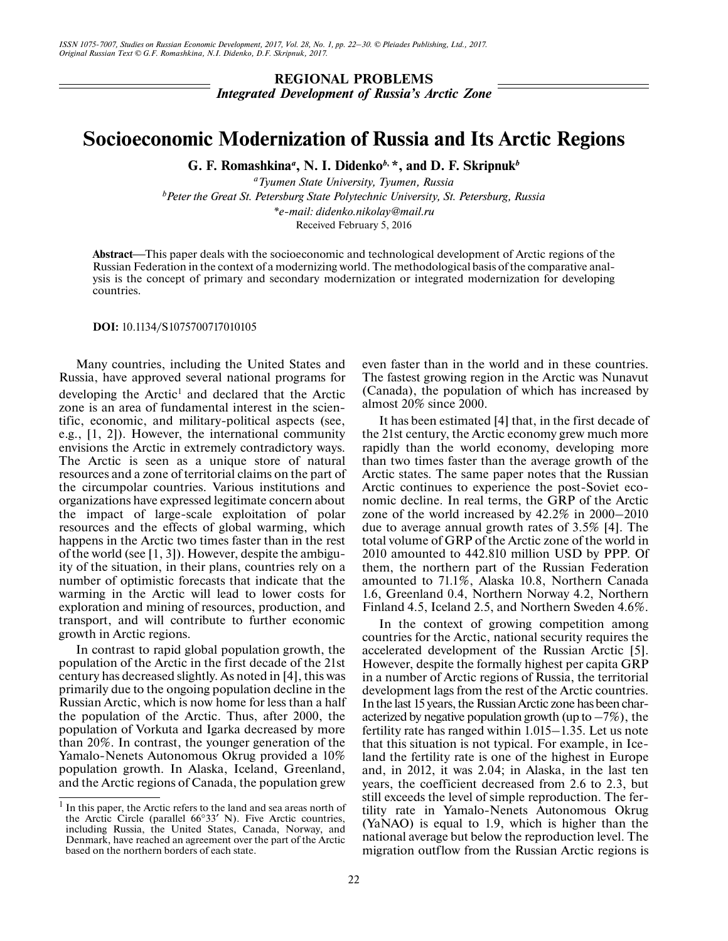**REGIONAL PROBLEMS** *Integrated Development of Russia's Arctic Zone*

# **Socioeconomic Modernization of Russia and Its Arctic Regions**

**G. F. Romashkina***<sup>a</sup>* **, N. I. Didenko***b***, \*, and D. F. Skripnuk***<sup>b</sup>*

*a Tyumen State University, Tyumen, Russia b Peter the Great St. Petersburg State Polytechnic University, St. Petersburg, Russia \*e-mail: didenko.nikolay@mail.ru* Received February 5, 2016

Abstract—This paper deals with the socioeconomic and technological development of Arctic regions of the Russian Federation in the context of a modernizing world. The methodological basis of the comparative analysis is the concept of primary and secondary modernization or integrated modernization for developing countries.

#### **DOI:** 10.1134/S1075700717010105

Many countries, including the United States and Russia, have approved several national programs for developing the Arctic<sup>1</sup> and declared that the Arctic zone is an area of fundamental interest in the scientific, economic, and military-political aspects (see, e.g., [1, 2]). However, the international community envisions the Arctic in extremely contradictory ways. The Arctic is seen as a unique store of natural resources and a zone of territorial claims on the part of the circumpolar countries. Various institutions and organizations have expressed legitimate concern about the impact of large-scale exploitation of polar resources and the effects of global warming, which happens in the Arctic two times faster than in the rest of the world (see [1, 3]). However, despite the ambiguity of the situation, in their plans, countries rely on a number of optimistic forecasts that indicate that the warming in the Arctic will lead to lower costs for exploration and mining of resources, production, and transport, and will contribute to further economic growth in Arctic regions.

In contrast to rapid global population growth, the population of the Arctic in the first decade of the 21st century has decreased slightly. As noted in [4], this was primarily due to the ongoing population decline in the Russian Arctic, which is now home for less than a half the population of the Arctic. Thus, after 2000, the population of Vorkuta and Igarka decreased by more than 20%. In contrast, the younger generation of the Yamalo-Nenets Autonomous Okrug provided a 10% population growth. In Alaska, Iceland, Greenland, and the Arctic regions of Canada, the population grew even faster than in the world and in these countries. The fastest growing region in the Arctic was Nunavut (Canada), the population of which has increased by almost 20% since 2000.

It has been estimated [4] that, in the first decade of the 21st century, the Arctic economy grew much more rapidly than the world economy, developing more than two times faster than the average growth of the Arctic states. The same paper notes that the Russian Arctic continues to experience the post-Soviet economic decline. In real terms, the GRP of the Arctic zone of the world increased by 42.2% in 2000–2010 due to average annual growth rates of 3.5% [4]. The total volume of GRP of the Arctic zone of the world in 2010 amounted to 442.810 million USD by PPP. Of them, the northern part of the Russian Federation amounted to 71.1%, Alaska 10.8, Northern Canada 1.6, Greenland 0.4, Northern Norway 4.2, Northern Finland 4.5, Iceland 2.5, and Northern Sweden 4.6%.

In the context of growing competition among countries for the Arctic, national security requires the accelerated development of the Russian Arctic [5]. However, despite the formally highest per capita GRP in a number of Arctic regions of Russia, the territorial development lags from the rest of the Arctic countries. In the last 15 years, the Russian Arctic zone has been characterized by negative population growth (up to  $-7\%$ ), the fertility rate has ranged within 1.015–1.35. Let us note that this situation is not typical. For example, in Iceland the fertility rate is one of the highest in Europe and, in 2012, it was 2.04; in Alaska, in the last ten years, the coefficient decreased from 2.6 to 2.3, but still exceeds the level of simple reproduction. The fertility rate in Yamalo-Nenets Autonomous Okrug (YaNAO) is equal to 1.9, which is higher than the national average but below the reproduction level. The migration outflow from the Russian Arctic regions is

<sup>1</sup> In this paper, the Arctic refers to the land and sea areas north of the Arctic Circle (parallel 66°33′ N). Five Arctic countries, including Russia, the United States, Canada, Norway, and Denmark, have reached an agreement over the part of the Arctic based on the northern borders of each state.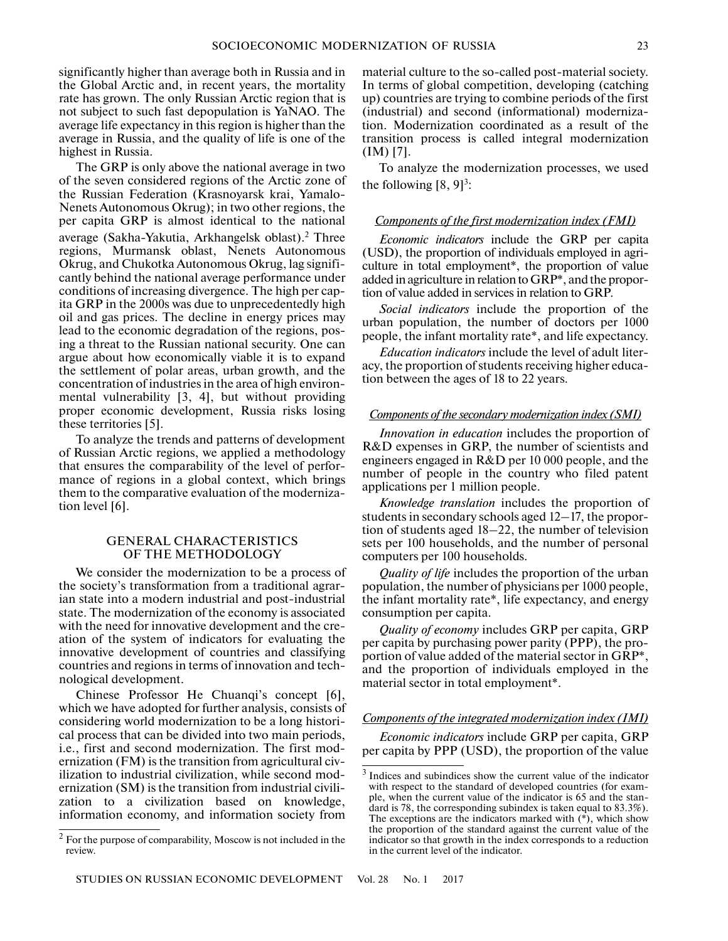significantly higher than average both in Russia and in the Global Arctic and, in recent years, the mortality rate has grown. The only Russian Arctic region that is not subject to such fast depopulation is YaNAO. The average life expectancy in this region is higher than the average in Russia, and the quality of life is one of the

highest in Russia. The GRP is only above the national average in two of the seven considered regions of the Arctic zone of the Russian Federation (Krasnoyarsk krai, Yamalo-Nenets Autonomous Okrug); in two other regions, the per capita GRP is almost identical to the national average (Sakha-Yakutia, Arkhangelsk oblast).<sup>2</sup> Three regions, Murmansk oblast, Nenets Autonomous Okrug, and Chukotka Autonomous Okrug, lag significantly behind the national average performance under conditions of increasing divergence. The high per capita GRP in the 2000s was due to unprecedentedly high oil and gas prices. The decline in energy prices may lead to the economic degradation of the regions, posing a threat to the Russian national security. One can argue about how economically viable it is to expand the settlement of polar areas, urban growth, and the concentration of industries in the area of high environmental vulnerability [3, 4], but without providing proper economic development, Russia risks losing these territories [5].

To analyze the trends and patterns of development of Russian Arctic regions, we applied a methodology that ensures the comparability of the level of performance of regions in a global context, which brings them to the comparative evaluation of the modernization level [6].

## GENERAL CHARACTERISTICS OF THE METHODOLOGY

We consider the modernization to be a process of the society's transformation from a traditional agrarian state into a modern industrial and post-industrial state. The modernization of the economy is associated with the need for innovative development and the creation of the system of indicators for evaluating the innovative development of countries and classifying countries and regions in terms of innovation and technological development.

Chinese Professor He Chuanqi's concept [6], which we have adopted for further analysis, consists of considering world modernization to be a long historical process that can be divided into two main periods, i.e., first and second modernization. The first modernization (FM) is the transition from agricultural civilization to industrial civilization, while second modernization (SM) is the transition from industrial civilization to a civilization based on knowledge, information economy, and information society from

material culture to the so-called post-material society. In terms of global competition, developing (catching up) countries are trying to combine periods of the first (industrial) and second (informational) modernization. Modernization coordinated as a result of the transition process is called integral modernization (IM) [7].

To analyze the modernization processes, we used the following  $[8, 9]^3$ :

#### *Components of the first modernization index (FMI)*

*Economic indicators* include the GRP per capita (USD), the proportion of individuals employed in agriculture in total employment\*, the proportion of value added in agriculture in relation to GRP\*, and the proportion of value added in services in relation to GRP.

*Social indicators* include the proportion of the urban population, the number of doctors per 1000 people, the infant mortality rate\*, and life expectancy.

*Education indicators* include the level of adult literacy, the proportion of students receiving higher education between the ages of 18 to 22 years.

### *Components of the secondary modernization index (SMI)*

*Innovation in education* includes the proportion of R&D expenses in GRP, the number of scientists and engineers engaged in R&D per 10 000 people, and the number of people in the country who filed patent applications per 1 million people.

*Knowledge translation* includes the proportion of students in secondary schools aged 12–17, the proportion of students aged 18–22, the number of television sets per 100 households, and the number of personal computers per 100 households.

*Quality of life* includes the proportion of the urban population, the number of physicians per 1000 people, the infant mortality rate\*, life expectancy, and energy consumption per capita.

*Quality of economy* includes GRP per capita, GRP per capita by purchasing power parity (PPP), the proportion of value added of the material sector in GRP\*, and the proportion of individuals employed in the material sector in total employment\*.

#### *Components of the integrated modernization index (IMI)*

*Economic indicators* include GRP per capita, GRP per capita by PPP (USD), the proportion of the value

<sup>2</sup> For the purpose of comparability, Moscow is not included in the review.

 $3$  Indices and subindices show the current value of the indicator with respect to the standard of developed countries (for example, when the current value of the indicator is 65 and the standard is 78, the corresponding subindex is taken equal to 83.3%). The exceptions are the indicators marked with  $(*)$ , which show the proportion of the standard against the current value of the indicator so that growth in the index corresponds to a reduction in the current level of the indicator.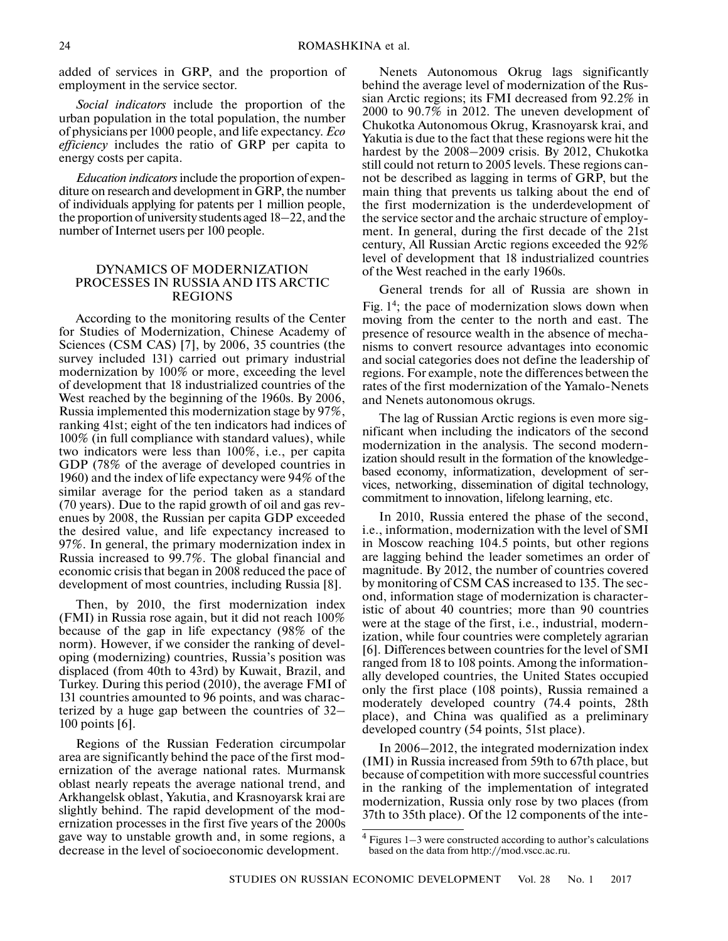added of services in GRP, and the proportion of employment in the service sector.

*Social indicators* include the proportion of the urban population in the total population, the number of physicians per 1000 people, and life expectancy. *Eco efficiency* includes the ratio of GRP per capita to energy costs per capita.

*Education indicators* include the proportion of expenditure on research and development in GRP, the number of individuals applying for patents per 1 million people, the proportion of university students aged 18–22, and the number of Internet users per 100 people.

## DYNAMICS OF MODERNIZATION PROCESSES IN RUSSIA AND ITS ARCTIC REGIONS

According to the monitoring results of the Center for Studies of Modernization, Chinese Academy of Sciences (CSM CAS) [7], by 2006, 35 countries (the survey included 131) carried out primary industrial modernization by 100% or more, exceeding the level of development that 18 industrialized countries of the West reached by the beginning of the 1960s. By 2006, Russia implemented this modernization stage by 97%, ranking 41st; eight of the ten indicators had indices of 100% (in full compliance with standard values), while two indicators were less than 100%, i.e., per capita GDP (78% of the average of developed countries in 1960) and the index of life expectancy were 94% of the similar average for the period taken as a standard (70 years). Due to the rapid growth of oil and gas revenues by 2008, the Russian per capita GDP exceeded the desired value, and life expectancy increased to 97%. In general, the primary modernization index in Russia increased to 99.7%. The global financial and economic crisis that began in 2008 reduced the pace of development of most countries, including Russia [8].

Then, by 2010, the first modernization index (FMI) in Russia rose again, but it did not reach 100% because of the gap in life expectancy (98% of the norm). However, if we consider the ranking of developing (modernizing) countries, Russia's position was displaced (from 40th to 43rd) by Kuwait, Brazil, and Turkey. During this period (2010), the average FMI of 131 countries amounted to 96 points, and was characterized by a huge gap between the countries of 32– 100 points [6].

Regions of the Russian Federation circumpolar area are significantly behind the pace of the first modernization of the average national rates. Murmansk oblast nearly repeats the average national trend, and Arkhangelsk oblast, Yakutia, and Krasnoyarsk krai are slightly behind. The rapid development of the modernization processes in the first five years of the 2000s gave way to unstable growth and, in some regions, a decrease in the level of socioeconomic development.

Nenets Autonomous Okrug lags significantly behind the average level of modernization of the Russian Arctic regions; its FMI decreased from 92.2% in 2000 to 90.7% in 2012. The uneven development of Chukotka Autonomous Okrug, Krasnoyarsk krai, and Yakutia is due to the fact that these regions were hit the hardest by the 2008–2009 crisis. By 2012, Chukotka still could not return to 2005 levels. These regions cannot be described as lagging in terms of GRP, but the main thing that prevents us talking about the end of the first modernization is the underdevelopment of the service sector and the archaic structure of employment. In general, during the first decade of the 21st century, All Russian Arctic regions exceeded the 92% level of development that 18 industrialized countries of the West reached in the early 1960s.

General trends for all of Russia are shown in Fig. 1<sup>4</sup>; the pace of modernization slows down when moving from the center to the north and east. The presence of resource wealth in the absence of mechanisms to convert resource advantages into economic and social categories does not define the leadership of regions. For example, note the differences between the rates of the first modernization of the Yamalo-Nenets and Nenets autonomous okrugs.

The lag of Russian Arctic regions is even more significant when including the indicators of the second modernization in the analysis. The second modernization should result in the formation of the knowledgebased economy, informatization, development of services, networking, dissemination of digital technology, commitment to innovation, lifelong learning, etc.

In 2010, Russia entered the phase of the second, i.e., information, modernization with the level of SMI in Moscow reaching 104.5 points, but other regions are lagging behind the leader sometimes an order of magnitude. By 2012, the number of countries covered by monitoring of CSM CAS increased to 135. The second, information stage of modernization is characteristic of about 40 countries; more than 90 countries were at the stage of the first, i.e., industrial, modernization, while four countries were completely agrarian [6]. Differences between countries for the level of SMI ranged from 18 to 108 points. Among the informationally developed countries, the United States occupied only the first place (108 points), Russia remained a moderately developed country (74.4 points, 28th place), and China was qualified as a preliminary developed country (54 points, 51st place).

In 2006–2012, the integrated modernization index (IMI) in Russia increased from 59th to 67th place, but because of competition with more successful countries in the ranking of the implementation of integrated modernization, Russia only rose by two places (from 37th to 35th place). Of the 12 components of the inte-

 $4$  Figures 1–3 were constructed according to author's calculations based on the data from http://mod.vscc.ac.ru.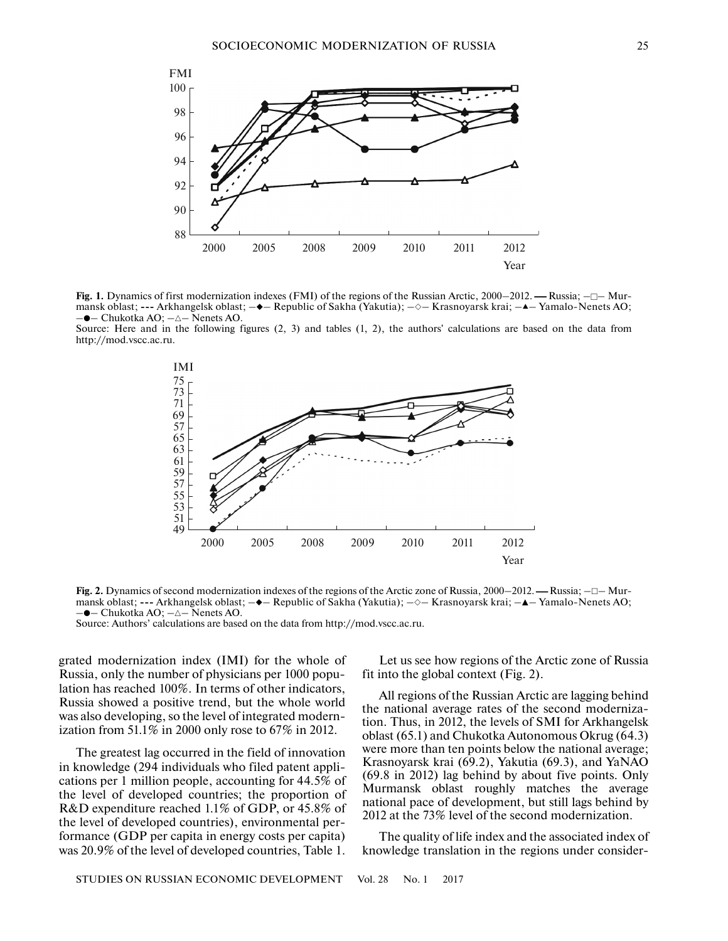

**Fig. 1.** Dynamics of first modernization indexes (FMI) of the regions of the Russian Arctic,  $2000-2012$ . — Russia;  $-\Box$ — Murmansk oblast; --- Arkhangelsk oblast; -◆- Republic of Sakha (Yakutia); -◇- Krasnoyarsk krai; -▲- Yamalo-Nenets AO;  $-\bullet$  – Chukotka AO;  $-\triangle$  – Nenets AO.

Source: Here and in the following figures (2, 3) and tables (1, 2), the authors' calculations are based on the data from http://mod.vscc.ac.ru.



**Fig. 2.** Dynamics of second modernization indexes of the regions of the Arctic zone of Russia,  $2000-2012$ . — Russia;  $-\Box$  Murmansk oblast; --- Arkhangelsk oblast;  $-\rightarrow$  Republic of Sakha (Yakutia);  $-\diamond$  Krasnoyarsk krai;  $-\rightarrow$  Yamalo-Nenets AO;  $-\bullet$  – Chukotka AO;  $-\triangle$  – Nenets AO.

Source: Authors' calculations are based on the data from http://mod.vscc.ac.ru.

grated modernization index (IMI) for the whole of Russia, only the number of physicians per 1000 population has reached 100%. In terms of other indicators, Russia showed a positive trend, but the whole world was also developing, so the level of integrated modernization from 51.1% in 2000 only rose to 67% in 2012.

The greatest lag occurred in the field of innovation in knowledge (294 individuals who filed patent applications per 1 million people, accounting for 44.5% of the level of developed countries; the proportion of R&D expenditure reached 1.1% of GDP, or 45.8% of the level of developed countries), environmental performance (GDP per capita in energy costs per capita) was 20.9% of the level of developed countries, Table 1.

Let us see how regions of the Arctic zone of Russia fit into the global context (Fig. 2).

All regions of the Russian Arctic are lagging behind the national average rates of the second modernization. Thus, in 2012, the levels of SMI for Arkhangelsk oblast (65.1) and Chukotka Autonomous Okrug (64.3) were more than ten points below the national average; Krasnoyarsk krai (69.2), Yakutia (69.3), and YaNAO (69.8 in 2012) lag behind by about five points. Only Murmansk oblast roughly matches the average national pace of development, but still lags behind by 2012 at the 73% level of the second modernization.

The quality of life index and the associated index of knowledge translation in the regions under consider-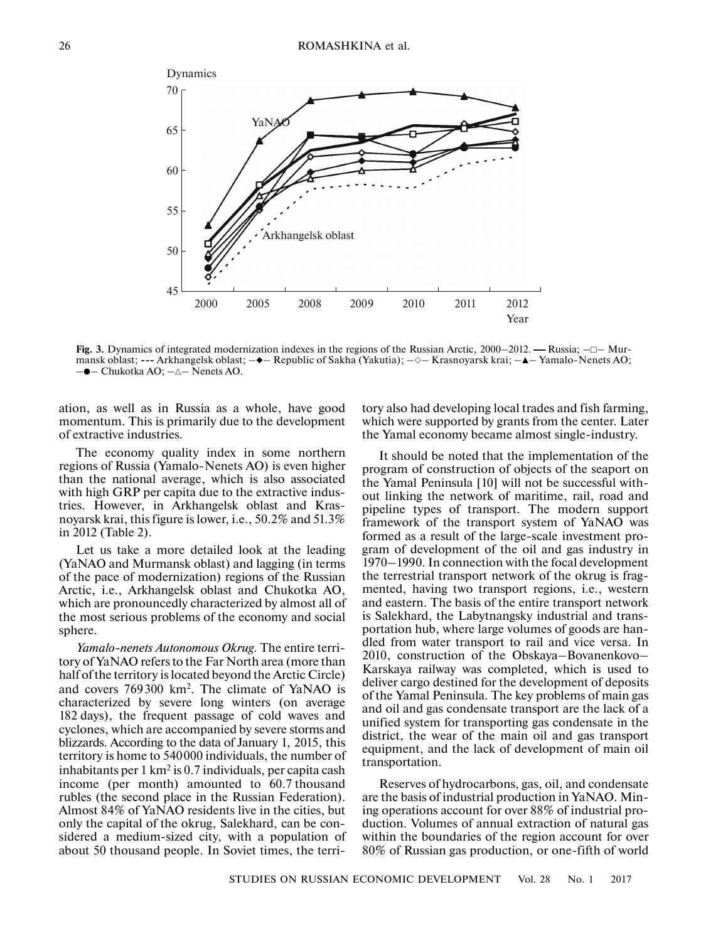

**Fig. 3.** Dynamics of integrated modernization indexes in the regions of the Russian Arctic,  $2000-2012$ . - Russia;  $-\Box$  Murmansk oblast; --- Arkhangelsk oblast;  $-\blacklozenge$  Republic of Sakha (Yakutia);  $-\lozenge$  Krasnoyarsk krai;  $-\blacktriangle$  Yamalo-Nenets AO;  $-\bullet$  – Chukotka AO;  $-\triangle$  Nenets AO.

ation, as well as in Russia as a whole, have good momentum. This is primarily due to the development of extractive industries.

The economy quality index in some northern regions of Russia (Yamalo-Nenets AO) is even higher than the national average, which is also associated with high GRP per capita due to the extractive industries. However, in Arkhangelsk oblast and Krasnoyarsk krai, this figure is lower, i.e., 50.2% and 51.3% in 2012 (Table 2).

Let us take a more detailed look at the leading (YaNAO and Murmansk oblast) and lagging (in terms of the pace of modernization) regions of the Russian Arctic, i.e., Arkhangelsk oblast and Chukotka AO, which are pronouncedly characterized by almost all of the most serious problems of the economy and social sphere.

*Yamalo-nenets Autonomous Okrug*. The entire territory of YaNAO refers to the Far North area (more than half of the territory is located beyond the Arctic Circle) and covers 769300 km<sup>2</sup>. The climate of YaNAO is characterized by severe long winters (on average 182 days), the frequent passage of cold waves and cyclones, which are accompanied by severe storms and blizzards. According to the data of January 1, 2015, this territory is home to 540000 individuals, the number of inhabitants per  $1 \text{ km}^2$  is 0.7 individuals, per capita cash income (per month) amounted to 60.7 thousand rubles (the second place in the Russian Federation). Almost 84% of YaNAO residents live in the cities, but only the capital of the okrug, Salekhard, can be considered a medium-sized city, with a population of about 50 thousand people. In Soviet times, the territory also had developing local trades and fish farming, which were supported by grants from the center. Later the Yamal economy became almost single-industry.

It should be noted that the implementation of the program of construction of objects of the seaport on the Yamal Peninsula [10] will not be successful without linking the network of maritime, rail, road and pipeline types of transport. The modern support framework of the transport system of YaNAO was formed as a result of the large-scale investment program of development of the oil and gas industry in 1970–1990. In connection with the focal development the terrestrial transport network of the okrug is fragmented, having two transport regions, i.e., western and eastern. The basis of the entire transport network is Salekhard, the Labytnangsky industrial and transportation hub, where large volumes of goods are handled from water transport to rail and vice versa. In 2010, construction of the Obskaya–Bovanenkovo– Karskaya railway was completed, which is used to deliver cargo destined for the development of deposits of the Yamal Peninsula. The key problems of main gas and oil and gas condensate transport are the lack of a unified system for transporting gas condensate in the district, the wear of the main oil and gas transport equipment, and the lack of development of main oil transportation.

Reserves of hydrocarbons, gas, oil, and condensate are the basis of industrial production in YaNAO. Mining operations account for over 88% of industrial production. Volumes of annual extraction of natural gas within the boundaries of the region account for over 80% of Russian gas production, or one-fifth of world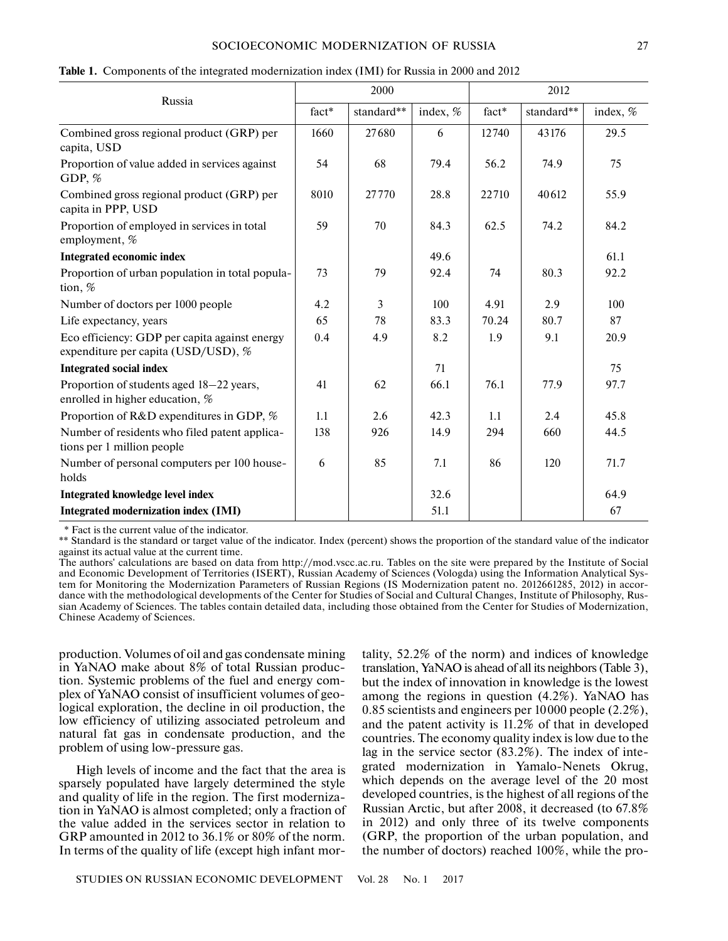#### SOCIOECONOMIC MODERNIZATION OF RUSSIA 27

|                                                                                      | 2000  |            |          | 2012  |            |          |
|--------------------------------------------------------------------------------------|-------|------------|----------|-------|------------|----------|
| Russia                                                                               | fact* | standard** | index, % | fact* | standard** | index, % |
| Combined gross regional product (GRP) per<br>capita, USD                             | 1660  | 27680      | 6        | 12740 | 43176      | 29.5     |
| Proportion of value added in services against<br>GDP, %                              | 54    | 68         | 79.4     | 56.2  | 74.9       | 75       |
| Combined gross regional product (GRP) per<br>capita in PPP, USD                      | 8010  | 27770      | 28.8     | 22710 | 40612      | 55.9     |
| Proportion of employed in services in total<br>employment, %                         | 59    | 70         | 84.3     | 62.5  | 74.2       | 84.2     |
| <b>Integrated economic index</b>                                                     |       |            | 49.6     |       |            | 61.1     |
| Proportion of urban population in total popula-<br>tion, %                           | 73    | 79         | 92.4     | 74    | 80.3       | 92.2     |
| Number of doctors per 1000 people                                                    | 4.2   | 3          | 100      | 4.91  | 2.9        | 100      |
| Life expectancy, years                                                               | 65    | 78         | 83.3     | 70.24 | 80.7       | 87       |
| Eco efficiency: GDP per capita against energy<br>expenditure per capita (USD/USD), % | 0.4   | 4.9        | 8.2      | 1.9   | 9.1        | 20.9     |
| <b>Integrated social index</b>                                                       |       |            | 71       |       |            | 75       |
| Proportion of students aged 18–22 years,<br>enrolled in higher education, %          | 41    | 62         | 66.1     | 76.1  | 77.9       | 97.7     |
| Proportion of R&D expenditures in GDP, %                                             | 1.1   | 2.6        | 42.3     | 1.1   | 2.4        | 45.8     |
| Number of residents who filed patent applica-<br>tions per 1 million people          | 138   | 926        | 14.9     | 294   | 660        | 44.5     |
| Number of personal computers per 100 house-<br>holds                                 | 6     | 85         | 7.1      | 86    | 120        | 71.7     |
| <b>Integrated knowledge level index</b>                                              |       |            | 32.6     |       |            | 64.9     |
| <b>Integrated modernization index (IMI)</b>                                          |       |            | 51.1     |       |            | 67       |

**Table 1.** Components of the integrated modernization index (IMI) for Russia in 2000 and 2012

\* Fact is the current value of the indicator.

\*\* Standard is the standard or target value of the indicator. Index (percent) shows the proportion of the standard value of the indicator against its actual value at the current time.

The authors' calculations are based on data from http://mod.vscc.ac.ru. Tables on the site were prepared by the Institute of Social and Economic Development of Territories (ISERT), Russian Academy of Sciences (Vologda) using the Information Analytical System for Monitoring the Modernization Parameters of Russian Regions (IS Modernization patent no. 2012661285, 2012) in accordance with the methodological developments of the Center for Studies of Social and Cultural Changes, Institute of Philosophy, Russian Academy of Sciences. The tables contain detailed data, including those obtained from the Center for Studies of Modernization, Chinese Academy of Sciences.

production. Volumes of oil and gas condensate mining in YaNAO make about 8% of total Russian production. Systemic problems of the fuel and energy complex of YaNAO consist of insufficient volumes of geological exploration, the decline in oil production, the low efficiency of utilizing associated petroleum and natural fat gas in condensate production, and the problem of using low-pressure gas.

High levels of income and the fact that the area is sparsely populated have largely determined the style and quality of life in the region. The first modernization in YaNAO is almost completed; only a fraction of the value added in the services sector in relation to GRP amounted in 2012 to 36.1% or 80% of the norm. In terms of the quality of life (except high infant mortality, 52.2% of the norm) and indices of knowledge translation, YaNAO is ahead of all its neighbors (Table 3), but the index of innovation in knowledge is the lowest among the regions in question (4.2%). YaNAO has 0.85 scientists and engineers per 10000 people (2.2%), and the patent activity is 11.2% of that in developed countries. The economy quality index is low due to the lag in the service sector (83.2%). The index of integrated modernization in Yamalo-Nenets Okrug, which depends on the average level of the 20 most developed countries, is the highest of all regions of the Russian Arctic, but after 2008, it decreased (to 67.8% in 2012) and only three of its twelve components (GRP, the proportion of the urban population, and the number of doctors) reached 100%, while the pro-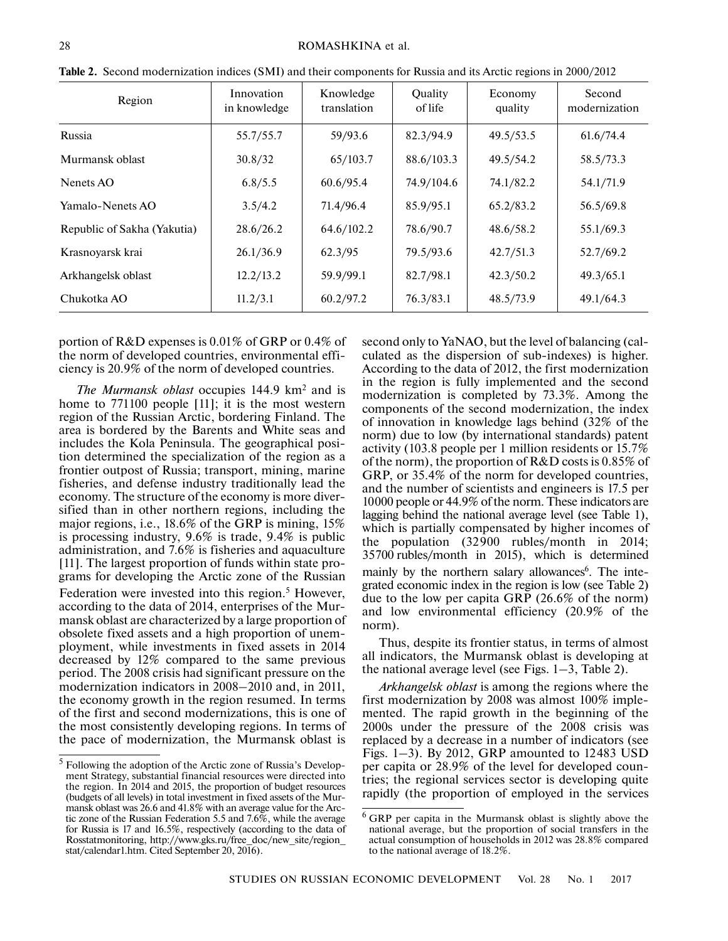| Region                      | Innovation<br>in knowledge | Knowledge<br>translation | Quality<br>of life | Economy<br>quality | Second<br>modernization |
|-----------------------------|----------------------------|--------------------------|--------------------|--------------------|-------------------------|
| Russia                      | 55.7/55.7                  | 59/93.6                  | 82.3/94.9          | 49.5/53.5          | 61.6/74.4               |
| Murmansk oblast             | 30.8/32                    | 65/103.7                 | 88.6/103.3         | 49.5/54.2          | 58.5/73.3               |
| Nenets AO                   | 6.8/5.5                    | 60.6/95.4                | 74.9/104.6         | 74.1/82.2          | 54.1/71.9               |
| Yamalo-Nenets AO            | 3.5/4.2                    | 71.4/96.4                | 85.9/95.1          | 65.2/83.2          | 56.5/69.8               |
| Republic of Sakha (Yakutia) | 28.6/26.2                  | 64.6/102.2               | 78.6/90.7          | 48.6/58.2          | 55.1/69.3               |
| Krasnoyarsk krai            | 26.1/36.9                  | 62.3/95                  | 79.5/93.6          | 42.7/51.3          | 52.7/69.2               |
| Arkhangelsk oblast          | 12.2/13.2                  | 59.9/99.1                | 82.7/98.1          | 42.3/50.2          | 49.3/65.1               |
| Chukotka AO                 | 11.2/3.1                   | 60.2/97.2                | 76.3/83.1          | 48.5/73.9          | 49.1/64.3               |

**Table 2.** Second modernization indices (SMI) and their components for Russia and its Arctic regions in 2000/2012

portion of R&D expenses is 0.01% of GRP or 0.4% of the norm of developed countries, environmental efficiency is 20.9% of the norm of developed countries.

The Murmansk oblast occupies 144.9 km<sup>2</sup> and is home to 771100 people [11]; it is the most western region of the Russian Arctic, bordering Finland. The area is bordered by the Barents and White seas and includes the Kola Peninsula. The geographical position determined the specialization of the region as a frontier outpost of Russia; transport, mining, marine fisheries, and defense industry traditionally lead the economy. The structure of the economy is more diversified than in other northern regions, including the major regions, i.e., 18.6% of the GRP is mining, 15% is processing industry, 9.6% is trade, 9.4% is public administration, and 7.6% is fisheries and aquaculture [11]. The largest proportion of funds within state programs for developing the Arctic zone of the Russian Federation were invested into this region.<sup>5</sup> However, according to the data of 2014, enterprises of the Murmansk oblast are characterized by a large proportion of obsolete fixed assets and a high proportion of unemployment, while investments in fixed assets in 2014 decreased by 12% compared to the same previous period. The 2008 crisis had significant pressure on the modernization indicators in 2008–2010 and, in 2011, the economy growth in the region resumed. In terms of the first and second modernizations, this is one of the most consistently developing regions. In terms of the pace of modernization, the Murmansk oblast is second only to YaNAO, but the level of balancing (calculated as the dispersion of sub-indexes) is higher. According to the data of 2012, the first modernization in the region is fully implemented and the second modernization is completed by 73.3%. Among the components of the second modernization, the index of innovation in knowledge lags behind (32% of the norm) due to low (by international standards) patent activity (103.8 people per 1 million residents or 15.7% of the norm), the proportion of R&D costs is 0.85% of GRP, or 35.4% of the norm for developed countries, and the number of scientists and engineers is 17.5 per 10000 people or 44.9% of the norm. These indicators are lagging behind the national average level (see Table 1), which is partially compensated by higher incomes of the population (32900 rubles/month in 2014; 35700 rubles/month in 2015), which is determined mainly by the northern salary allowances<sup>6</sup>. The integrated economic index in the region is low (see Table 2) due to the low per capita GRP (26.6% of the norm) and low environmental efficiency (20.9% of the norm).

Thus, despite its frontier status, in terms of almost all indicators, the Murmansk oblast is developing at the national average level (see Figs. 1–3, Table 2).

*Arkhangelsk oblast* is among the regions where the first modernization by 2008 was almost 100% implemented. The rapid growth in the beginning of the 2000s under the pressure of the 2008 crisis was replaced by a decrease in a number of indicators (see Figs. 1–3). By 2012, GRP amounted to 12483 USD per capita or 28.9% of the level for developed countries; the regional services sector is developing quite rapidly (the proportion of employed in the services

<sup>&</sup>lt;sup>5</sup> Following the adoption of the Arctic zone of Russia's Development Strategy, substantial financial resources were directed into the region. In 2014 and 2015, the proportion of budget resources (budgets of all levels) in total investment in fixed assets of the Murmansk oblast was 26.6 and 41.8% with an average value for the Arctic zone of the Russian Federation 5.5 and 7.6%, while the average for Russia is 17 and 16.5%, respectively (according to the data of Rosstatmonitoring, http://www.gks.ru/free\_doc/new\_site/region\_ stat/calendar1.htm. Cited September 20, 2016).

 $6$  GRP per capita in the Murmansk oblast is slightly above the national average, but the proportion of social transfers in the actual consumption of households in 2012 was 28.8% compared to the national average of 18.2%.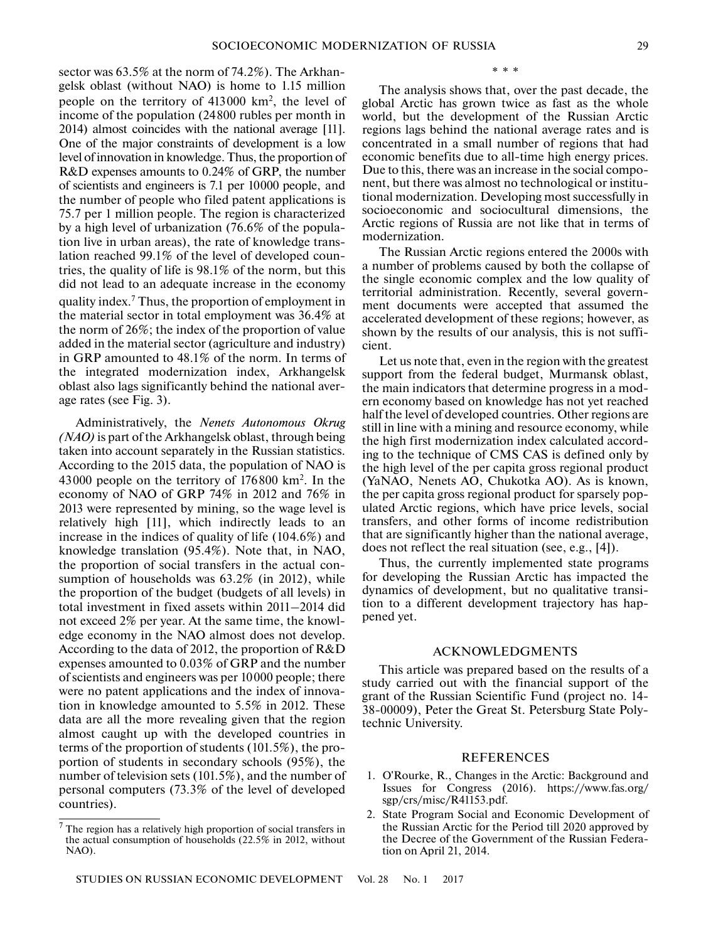sector was 63.5% at the norm of 74.2%). The Arkhangelsk oblast (without NAO) is home to 1.15 million people on the territory of 413000 km<sup>2</sup>, the level of income of the population (24800 rubles per month in 2014) almost coincides with the national average [11]. One of the major constraints of development is a low level of innovation in knowledge. Thus, the proportion of R&D expenses amounts to 0.24% of GRP, the number of scientists and engineers is 7.1 per 10000 people, and the number of people who filed patent applications is 75.7 per 1 million people. The region is characterized by a high level of urbanization (76.6% of the population live in urban areas), the rate of knowledge translation reached 99.1% of the level of developed countries, the quality of life is 98.1% of the norm, but this did not lead to an adequate increase in the economy quality index.7 Thus, the proportion of employment in the material sector in total employment was 36.4% at the norm of 26%; the index of the proportion of value added in the material sector (agriculture and industry) in GRP amounted to 48.1% of the norm. In terms of the integrated modernization index, Arkhangelsk oblast also lags significantly behind the national average rates (see Fig. 3).

Administratively, the *Nenets Autonomous Okrug (NAO)* is part of the Arkhangelsk oblast, through being taken into account separately in the Russian statistics. According to the 2015 data, the population of NAO is 43000 people on the territory of 176800 km<sup>2</sup>. In the economy of NAO of GRP 74% in 2012 and 76% in 2013 were represented by mining, so the wage level is relatively high [11], which indirectly leads to an increase in the indices of quality of life (104.6%) and knowledge translation (95.4%). Note that, in NAO, the proportion of social transfers in the actual consumption of households was 63.2% (in 2012), while the proportion of the budget (budgets of all levels) in total investment in fixed assets within 2011–2014 did not exceed 2% per year. At the same time, the knowledge economy in the NAO almost does not develop. According to the data of 2012, the proportion of R&D expenses amounted to 0.03% of GRP and the number of scientists and engineers was per 10000 people; there were no patent applications and the index of innovation in knowledge amounted to 5.5% in 2012. These data are all the more revealing given that the region almost caught up with the developed countries in terms of the proportion of students (101.5%), the proportion of students in secondary schools (95%), the number of television sets (101.5%), and the number of personal computers (73.3% of the level of developed countries).

\* \* \*

The analysis shows that, over the past decade, the global Arctic has grown twice as fast as the whole world, but the development of the Russian Arctic regions lags behind the national average rates and is concentrated in a small number of regions that had economic benefits due to all-time high energy prices. Due to this, there was an increase in the social component, but there was almost no technological or institutional modernization. Developing most successfully in socioeconomic and sociocultural dimensions, the Arctic regions of Russia are not like that in terms of modernization.

The Russian Arctic regions entered the 2000s with a number of problems caused by both the collapse of the single economic complex and the low quality of territorial administration. Recently, several government documents were accepted that assumed the accelerated development of these regions; however, as shown by the results of our analysis, this is not sufficient.

Let us note that, even in the region with the greatest support from the federal budget, Murmansk oblast, the main indicators that determine progress in a modern economy based on knowledge has not yet reached half the level of developed countries. Other regions are still in line with a mining and resource economy, while the high first modernization index calculated according to the technique of CMS CAS is defined only by the high level of the per capita gross regional product (YaNAO, Nenets AO, Chukotka AO). As is known, the per capita gross regional product for sparsely populated Arctic regions, which have price levels, social transfers, and other forms of income redistribution that are significantly higher than the national average, does not reflect the real situation (see, e.g., [4]).

Thus, the currently implemented state programs for developing the Russian Arctic has impacted the dynamics of development, but no qualitative transition to a different development trajectory has happened yet.

#### ACKNOWLEDGMENTS

This article was prepared based on the results of a study carried out with the financial support of the grant of the Russian Scientific Fund (project no. 14- 38-00009), Peter the Great St. Petersburg State Polytechnic University.

#### REFERENCES

- 1. O'Rourke, R., Changes in the Arctic: Background and Issues for Congress (2016). https://www.fas.org/ sgp/crs/misc/R41153.pdf.
- 2. State Program Social and Economic Development of the Russian Arctic for the Period till 2020 approved by the Decree of the Government of the Russian Federation on April 21, 2014.

 $<sup>7</sup>$  The region has a relatively high proportion of social transfers in</sup> the actual consumption of households (22.5% in 2012, without NAO).